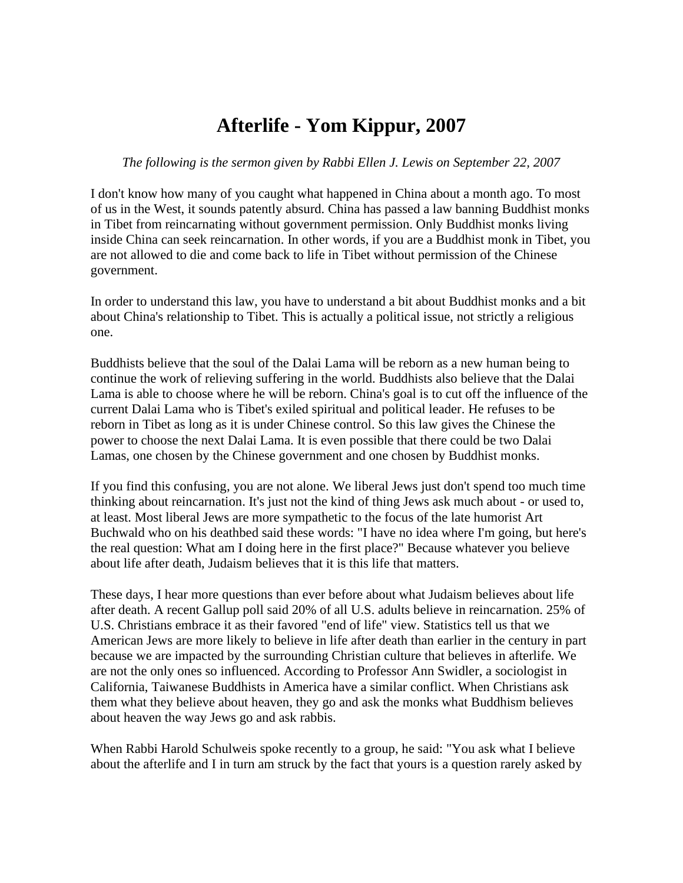## **Afterlife - Yom Kippur, 2007**

## *The following is the sermon given by Rabbi Ellen J. Lewis on September 22, 2007*

I don't know how many of you caught what happened in China about a month ago. To most of us in the West, it sounds patently absurd. China has passed a law banning Buddhist monks in Tibet from reincarnating without government permission. Only Buddhist monks living inside China can seek reincarnation. In other words, if you are a Buddhist monk in Tibet, you are not allowed to die and come back to life in Tibet without permission of the Chinese government.

In order to understand this law, you have to understand a bit about Buddhist monks and a bit about China's relationship to Tibet. This is actually a political issue, not strictly a religious one.

Buddhists believe that the soul of the Dalai Lama will be reborn as a new human being to continue the work of relieving suffering in the world. Buddhists also believe that the Dalai Lama is able to choose where he will be reborn. China's goal is to cut off the influence of the current Dalai Lama who is Tibet's exiled spiritual and political leader. He refuses to be reborn in Tibet as long as it is under Chinese control. So this law gives the Chinese the power to choose the next Dalai Lama. It is even possible that there could be two Dalai Lamas, one chosen by the Chinese government and one chosen by Buddhist monks.

If you find this confusing, you are not alone. We liberal Jews just don't spend too much time thinking about reincarnation. It's just not the kind of thing Jews ask much about - or used to, at least. Most liberal Jews are more sympathetic to the focus of the late humorist Art Buchwald who on his deathbed said these words: "I have no idea where I'm going, but here's the real question: What am I doing here in the first place?" Because whatever you believe about life after death, Judaism believes that it is this life that matters.

These days, I hear more questions than ever before about what Judaism believes about life after death. A recent Gallup poll said 20% of all U.S. adults believe in reincarnation. 25% of U.S. Christians embrace it as their favored "end of life" view. Statistics tell us that we American Jews are more likely to believe in life after death than earlier in the century in part because we are impacted by the surrounding Christian culture that believes in afterlife. We are not the only ones so influenced. According to Professor Ann Swidler, a sociologist in California, Taiwanese Buddhists in America have a similar conflict. When Christians ask them what they believe about heaven, they go and ask the monks what Buddhism believes about heaven the way Jews go and ask rabbis.

When Rabbi Harold Schulweis spoke recently to a group, he said: "You ask what I believe about the afterlife and I in turn am struck by the fact that yours is a question rarely asked by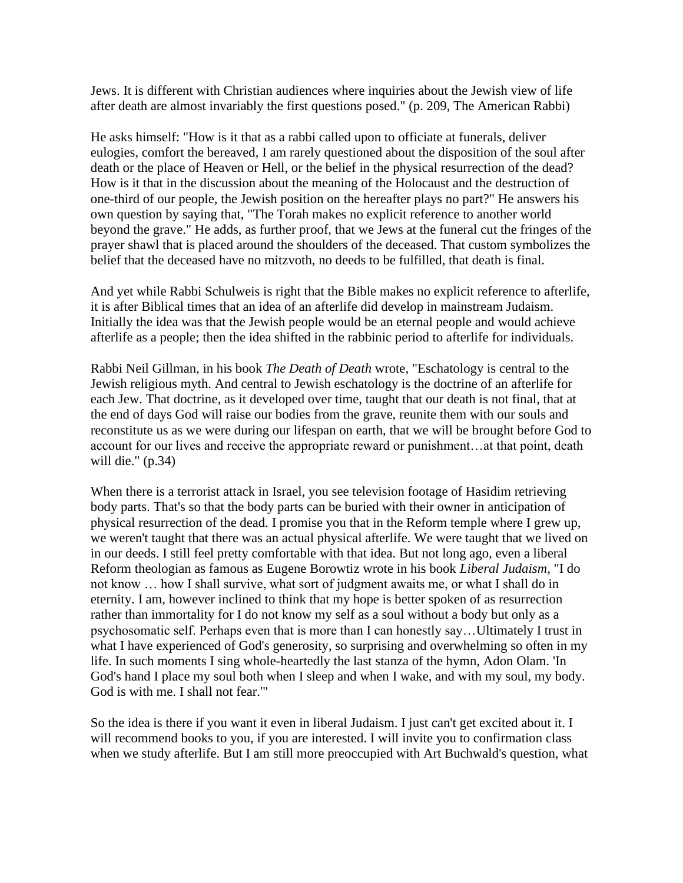Jews. It is different with Christian audiences where inquiries about the Jewish view of life after death are almost invariably the first questions posed." (p. 209, The American Rabbi)

He asks himself: "How is it that as a rabbi called upon to officiate at funerals, deliver eulogies, comfort the bereaved, I am rarely questioned about the disposition of the soul after death or the place of Heaven or Hell, or the belief in the physical resurrection of the dead? How is it that in the discussion about the meaning of the Holocaust and the destruction of one-third of our people, the Jewish position on the hereafter plays no part?" He answers his own question by saying that, "The Torah makes no explicit reference to another world beyond the grave." He adds, as further proof, that we Jews at the funeral cut the fringes of the prayer shawl that is placed around the shoulders of the deceased. That custom symbolizes the belief that the deceased have no mitzvoth, no deeds to be fulfilled, that death is final.

And yet while Rabbi Schulweis is right that the Bible makes no explicit reference to afterlife, it is after Biblical times that an idea of an afterlife did develop in mainstream Judaism. Initially the idea was that the Jewish people would be an eternal people and would achieve afterlife as a people; then the idea shifted in the rabbinic period to afterlife for individuals.

Rabbi Neil Gillman, in his book *The Death of Death* wrote, "Eschatology is central to the Jewish religious myth. And central to Jewish eschatology is the doctrine of an afterlife for each Jew. That doctrine, as it developed over time, taught that our death is not final, that at the end of days God will raise our bodies from the grave, reunite them with our souls and reconstitute us as we were during our lifespan on earth, that we will be brought before God to account for our lives and receive the appropriate reward or punishment…at that point, death will die." (p.34)

When there is a terrorist attack in Israel, you see television footage of Hasidim retrieving body parts. That's so that the body parts can be buried with their owner in anticipation of physical resurrection of the dead. I promise you that in the Reform temple where I grew up, we weren't taught that there was an actual physical afterlife. We were taught that we lived on in our deeds. I still feel pretty comfortable with that idea. But not long ago, even a liberal Reform theologian as famous as Eugene Borowtiz wrote in his book *Liberal Judaism*, "I do not know … how I shall survive, what sort of judgment awaits me, or what I shall do in eternity. I am, however inclined to think that my hope is better spoken of as resurrection rather than immortality for I do not know my self as a soul without a body but only as a psychosomatic self. Perhaps even that is more than I can honestly say…Ultimately I trust in what I have experienced of God's generosity, so surprising and overwhelming so often in my life. In such moments I sing whole-heartedly the last stanza of the hymn, Adon Olam. 'In God's hand I place my soul both when I sleep and when I wake, and with my soul, my body. God is with me. I shall not fear.'"

So the idea is there if you want it even in liberal Judaism. I just can't get excited about it. I will recommend books to you, if you are interested. I will invite you to confirmation class when we study afterlife. But I am still more preoccupied with Art Buchwald's question, what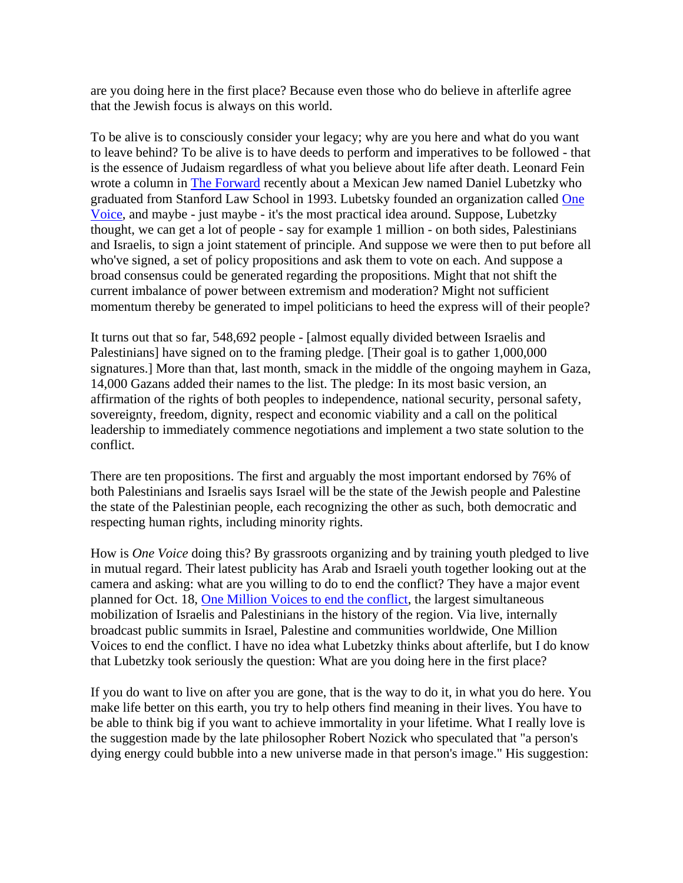are you doing here in the first place? Because even those who do believe in afterlife agree that the Jewish focus is always on this world.

To be alive is to consciously consider your legacy; why are you here and what do you want to leave behind? To be alive is to have deeds to perform and imperatives to be followed - that is the essence of Judaism regardless of what you believe about life after death. Leonard Fein wrote a column in **[The Forward](http://www.forward.com/)** recently about a Mexican Jew named Daniel Lubetzky who graduated from Stanford Law School in 1993. Lubetsky founded an organization called [One](http://www.onevoicemovement.org/)  [Voice,](http://www.onevoicemovement.org/) and maybe - just maybe - it's the most practical idea around. Suppose, Lubetzky thought, we can get a lot of people - say for example 1 million - on both sides, Palestinians and Israelis, to sign a joint statement of principle. And suppose we were then to put before all who've signed, a set of policy propositions and ask them to vote on each. And suppose a broad consensus could be generated regarding the propositions. Might that not shift the current imbalance of power between extremism and moderation? Might not sufficient momentum thereby be generated to impel politicians to heed the express will of their people?

It turns out that so far, 548,692 people - [almost equally divided between Israelis and Palestinians] have signed on to the framing pledge. [Their goal is to gather 1,000,000 signatures.] More than that, last month, smack in the middle of the ongoing mayhem in Gaza, 14,000 Gazans added their names to the list. The pledge: In its most basic version, an affirmation of the rights of both peoples to independence, national security, personal safety, sovereignty, freedom, dignity, respect and economic viability and a call on the political leadership to immediately commence negotiations and implement a two state solution to the conflict.

There are ten propositions. The first and arguably the most important endorsed by 76% of both Palestinians and Israelis says Israel will be the state of the Jewish people and Palestine the state of the Palestinian people, each recognizing the other as such, both democratic and respecting human rights, including minority rights.

How is *One Voice* doing this? By grassroots organizing and by training youth pledged to live in mutual regard. Their latest publicity has Arab and Israeli youth together looking out at the camera and asking: what are you willing to do to end the conflict? They have a major event planned for Oct. 18, [One Million Voices to end the conflict,](http://www.onemillionvoices.org/) the largest simultaneous mobilization of Israelis and Palestinians in the history of the region. Via live, internally broadcast public summits in Israel, Palestine and communities worldwide, One Million Voices to end the conflict. I have no idea what Lubetzky thinks about afterlife, but I do know that Lubetzky took seriously the question: What are you doing here in the first place?

If you do want to live on after you are gone, that is the way to do it, in what you do here. You make life better on this earth, you try to help others find meaning in their lives. You have to be able to think big if you want to achieve immortality in your lifetime. What I really love is the suggestion made by the late philosopher Robert Nozick who speculated that "a person's dying energy could bubble into a new universe made in that person's image." His suggestion: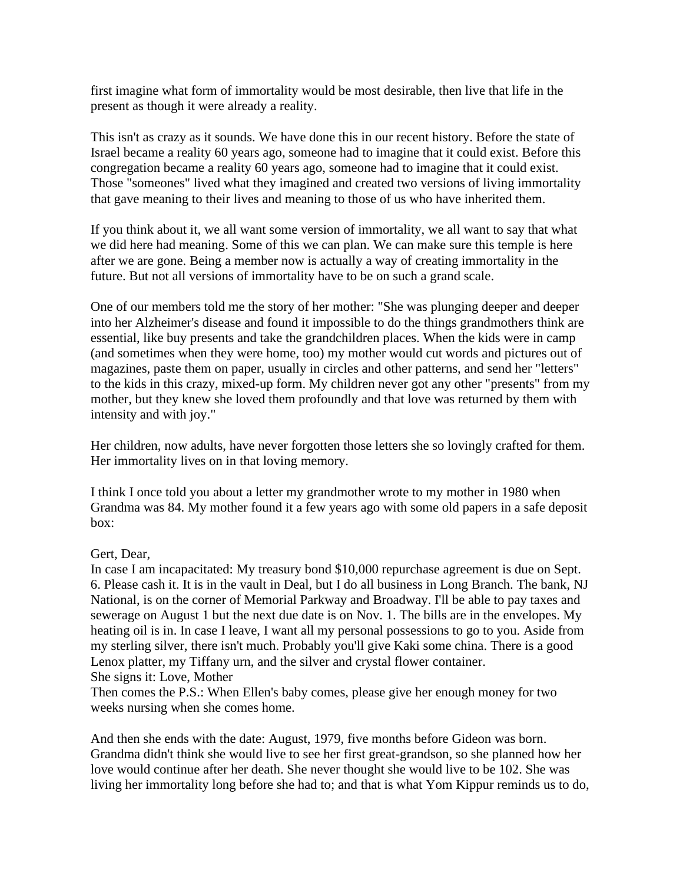first imagine what form of immortality would be most desirable, then live that life in the present as though it were already a reality.

This isn't as crazy as it sounds. We have done this in our recent history. Before the state of Israel became a reality 60 years ago, someone had to imagine that it could exist. Before this congregation became a reality 60 years ago, someone had to imagine that it could exist. Those "someones" lived what they imagined and created two versions of living immortality that gave meaning to their lives and meaning to those of us who have inherited them.

If you think about it, we all want some version of immortality, we all want to say that what we did here had meaning. Some of this we can plan. We can make sure this temple is here after we are gone. Being a member now is actually a way of creating immortality in the future. But not all versions of immortality have to be on such a grand scale.

One of our members told me the story of her mother: "She was plunging deeper and deeper into her Alzheimer's disease and found it impossible to do the things grandmothers think are essential, like buy presents and take the grandchildren places. When the kids were in camp (and sometimes when they were home, too) my mother would cut words and pictures out of magazines, paste them on paper, usually in circles and other patterns, and send her "letters" to the kids in this crazy, mixed-up form. My children never got any other "presents" from my mother, but they knew she loved them profoundly and that love was returned by them with intensity and with joy."

Her children, now adults, have never forgotten those letters she so lovingly crafted for them. Her immortality lives on in that loving memory.

I think I once told you about a letter my grandmother wrote to my mother in 1980 when Grandma was 84. My mother found it a few years ago with some old papers in a safe deposit box:

## Gert, Dear,

In case I am incapacitated: My treasury bond \$10,000 repurchase agreement is due on Sept. 6. Please cash it. It is in the vault in Deal, but I do all business in Long Branch. The bank, NJ National, is on the corner of Memorial Parkway and Broadway. I'll be able to pay taxes and sewerage on August 1 but the next due date is on Nov. 1. The bills are in the envelopes. My heating oil is in. In case I leave, I want all my personal possessions to go to you. Aside from my sterling silver, there isn't much. Probably you'll give Kaki some china. There is a good Lenox platter, my Tiffany urn, and the silver and crystal flower container. She signs it: Love, Mother

Then comes the P.S.: When Ellen's baby comes, please give her enough money for two weeks nursing when she comes home.

And then she ends with the date: August, 1979, five months before Gideon was born. Grandma didn't think she would live to see her first great-grandson, so she planned how her love would continue after her death. She never thought she would live to be 102. She was living her immortality long before she had to; and that is what Yom Kippur reminds us to do,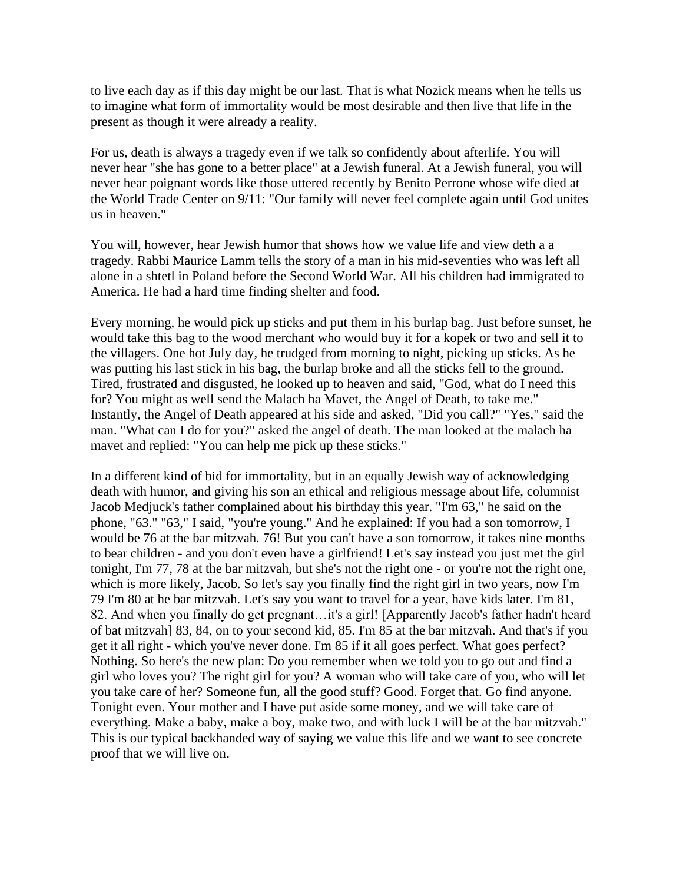to live each day as if this day might be our last. That is what Nozick means when he tells us to imagine what form of immortality would be most desirable and then live that life in the present as though it were already a reality.

For us, death is always a tragedy even if we talk so confidently about afterlife. You will never hear "she has gone to a better place" at a Jewish funeral. At a Jewish funeral, you will never hear poignant words like those uttered recently by Benito Perrone whose wife died at the World Trade Center on 9/11: "Our family will never feel complete again until God unites us in heaven."

You will, however, hear Jewish humor that shows how we value life and view deth a a tragedy. Rabbi Maurice Lamm tells the story of a man in his mid-seventies who was left all alone in a shtetl in Poland before the Second World War. All his children had immigrated to America. He had a hard time finding shelter and food.

Every morning, he would pick up sticks and put them in his burlap bag. Just before sunset, he would take this bag to the wood merchant who would buy it for a kopek or two and sell it to the villagers. One hot July day, he trudged from morning to night, picking up sticks. As he was putting his last stick in his bag, the burlap broke and all the sticks fell to the ground. Tired, frustrated and disgusted, he looked up to heaven and said, "God, what do I need this for? You might as well send the Malach ha Mavet, the Angel of Death, to take me." Instantly, the Angel of Death appeared at his side and asked, "Did you call?" "Yes," said the man. "What can I do for you?" asked the angel of death. The man looked at the malach ha mavet and replied: "You can help me pick up these sticks."

In a different kind of bid for immortality, but in an equally Jewish way of acknowledging death with humor, and giving his son an ethical and religious message about life, columnist Jacob Medjuck's father complained about his birthday this year. "I'm 63," he said on the phone, "63." "63," I said, "you're young." And he explained: If you had a son tomorrow, I would be 76 at the bar mitzvah. 76! But you can't have a son tomorrow, it takes nine months to bear children - and you don't even have a girlfriend! Let's say instead you just met the girl tonight, I'm 77, 78 at the bar mitzvah, but she's not the right one - or you're not the right one, which is more likely, Jacob. So let's say you finally find the right girl in two years, now I'm 79 I'm 80 at he bar mitzvah. Let's say you want to travel for a year, have kids later. I'm 81, 82. And when you finally do get pregnant…it's a girl! [Apparently Jacob's father hadn't heard of bat mitzvah] 83, 84, on to your second kid, 85. I'm 85 at the bar mitzvah. And that's if you get it all right - which you've never done. I'm 85 if it all goes perfect. What goes perfect? Nothing. So here's the new plan: Do you remember when we told you to go out and find a girl who loves you? The right girl for you? A woman who will take care of you, who will let you take care of her? Someone fun, all the good stuff? Good. Forget that. Go find anyone. Tonight even. Your mother and I have put aside some money, and we will take care of everything. Make a baby, make a boy, make two, and with luck I will be at the bar mitzvah." This is our typical backhanded way of saying we value this life and we want to see concrete proof that we will live on.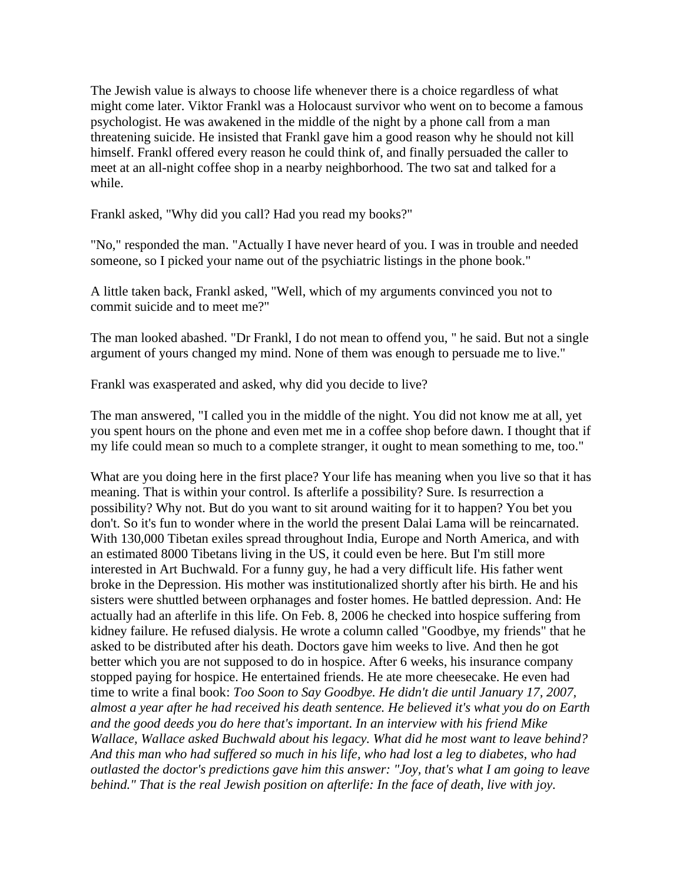The Jewish value is always to choose life whenever there is a choice regardless of what might come later. Viktor Frankl was a Holocaust survivor who went on to become a famous psychologist. He was awakened in the middle of the night by a phone call from a man threatening suicide. He insisted that Frankl gave him a good reason why he should not kill himself. Frankl offered every reason he could think of, and finally persuaded the caller to meet at an all-night coffee shop in a nearby neighborhood. The two sat and talked for a while.

Frankl asked, "Why did you call? Had you read my books?"

"No," responded the man. "Actually I have never heard of you. I was in trouble and needed someone, so I picked your name out of the psychiatric listings in the phone book."

A little taken back, Frankl asked, "Well, which of my arguments convinced you not to commit suicide and to meet me?"

The man looked abashed. "Dr Frankl, I do not mean to offend you, " he said. But not a single argument of yours changed my mind. None of them was enough to persuade me to live."

Frankl was exasperated and asked, why did you decide to live?

The man answered, "I called you in the middle of the night. You did not know me at all, yet you spent hours on the phone and even met me in a coffee shop before dawn. I thought that if my life could mean so much to a complete stranger, it ought to mean something to me, too."

What are you doing here in the first place? Your life has meaning when you live so that it has meaning. That is within your control. Is afterlife a possibility? Sure. Is resurrection a possibility? Why not. But do you want to sit around waiting for it to happen? You bet you don't. So it's fun to wonder where in the world the present Dalai Lama will be reincarnated. With 130,000 Tibetan exiles spread throughout India, Europe and North America, and with an estimated 8000 Tibetans living in the US, it could even be here. But I'm still more interested in Art Buchwald. For a funny guy, he had a very difficult life. His father went broke in the Depression. His mother was institutionalized shortly after his birth. He and his sisters were shuttled between orphanages and foster homes. He battled depression. And: He actually had an afterlife in this life. On Feb. 8, 2006 he checked into hospice suffering from kidney failure. He refused dialysis. He wrote a column called "Goodbye, my friends" that he asked to be distributed after his death. Doctors gave him weeks to live. And then he got better which you are not supposed to do in hospice. After 6 weeks, his insurance company stopped paying for hospice. He entertained friends. He ate more cheesecake. He even had time to write a final book: *Too Soon to Say Goodbye. He didn't die until January 17, 2007, almost a year after he had received his death sentence. He believed it's what you do on Earth and the good deeds you do here that's important. In an interview with his friend Mike Wallace, Wallace asked Buchwald about his legacy. What did he most want to leave behind? And this man who had suffered so much in his life, who had lost a leg to diabetes, who had outlasted the doctor's predictions gave him this answer: "Joy, that's what I am going to leave behind." That is the real Jewish position on afterlife: In the face of death, live with joy.*